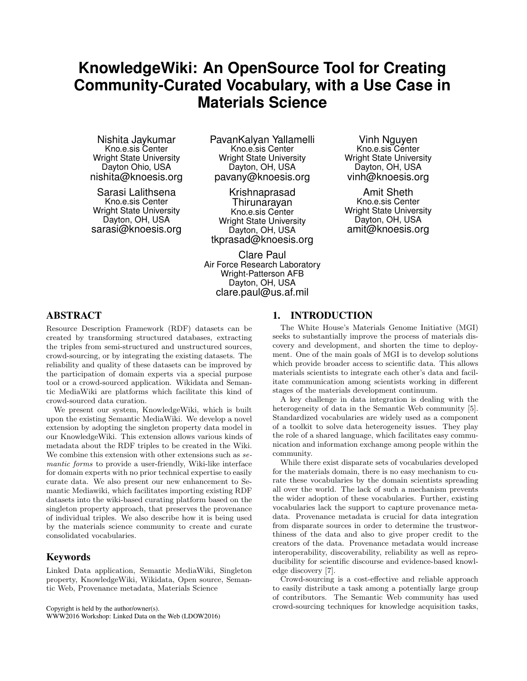# **KnowledgeWiki: An OpenSource Tool for Creating Community-Curated Vocabulary, with a Use Case in Materials Science**

Nishita Jaykumar Kno.e.sis Center Wright State University Dayton Ohio, USA nishita@knoesis.org

Sarasi Lalithsena Kno.e.sis Center Wright State University Dayton, OH, USA sarasi@knoesis.org PavanKalyan Yallamelli Kno.e.sis Center Wright State University Dayton, OH, USA pavany@knoesis.org

Krishnaprasad Thirunarayan Kno.e.sis Center Wright State University Dayton, OH, USA tkprasad@knoesis.org

Clare Paul Air Force Research Laboratory Wright-Patterson AFB Dayton, OH, USA clare.paul@us.af.mil

Vinh Nguyen Kno.e.sis Center Wright State University Dayton, OH, USA vinh@knoesis.org

Amit Sheth Kno.e.sis Center Wright State University Dayton, OH, USA amit@knoesis.org

# ABSTRACT

Resource Description Framework (RDF) datasets can be created by transforming structured databases, extracting the triples from semi-structured and unstructured sources, crowd-sourcing, or by integrating the existing datasets. The reliability and quality of these datasets can be improved by the participation of domain experts via a special purpose tool or a crowd-sourced application. Wikidata and Semantic MediaWiki are platforms which facilitate this kind of crowd-sourced data curation.

We present our system, KnowledgeWiki, which is built upon the existing Semantic MediaWiki. We develop a novel extension by adopting the singleton property data model in our KnowledgeWiki. This extension allows various kinds of metadata about the RDF triples to be created in the Wiki. We combine this extension with other extensions such as semantic forms to provide a user-friendly, Wiki-like interface for domain experts with no prior technical expertise to easily curate data. We also present our new enhancement to Semantic Mediawiki, which facilitates importing existing RDF datasets into the wiki-based curating platform based on the singleton property approach, that preserves the provenance of individual triples. We also describe how it is being used by the materials science community to create and curate consolidated vocabularies.

# Keywords

Linked Data application, Semantic MediaWiki, Singleton property, KnowledgeWiki, Wikidata, Open source, Semantic Web, Provenance metadata, Materials Science

Copyright is held by the author/owner(s).

WWW2016 Workshop: Linked Data on the Web (LDOW2016)

# 1. INTRODUCTION

The White House's Materials Genome Initiative (MGI) seeks to substantially improve the process of materials discovery and development, and shorten the time to deployment. One of the main goals of MGI is to develop solutions which provide broader access to scientific data. This allows materials scientists to integrate each other's data and facilitate communication among scientists working in different stages of the materials development continuum.

A key challenge in data integration is dealing with the heterogeneity of data in the Semantic Web community [5]. Standardized vocabularies are widely used as a component of a toolkit to solve data heterogeneity issues. They play the role of a shared language, which facilitates easy communication and information exchange among people within the community.

While there exist disparate sets of vocabularies developed for the materials domain, there is no easy mechanism to curate these vocabularies by the domain scientists spreading all over the world. The lack of such a mechanism prevents the wider adoption of these vocabularies. Further, existing vocabularies lack the support to capture provenance metadata. Provenance metadata is crucial for data integration from disparate sources in order to determine the trustworthiness of the data and also to give proper credit to the creators of the data. Provenance metadata would increase interoperability, discoverability, reliability as well as reproducibility for scientific discourse and evidence-based knowledge discovery [7].

Crowd-sourcing is a cost-effective and reliable approach to easily distribute a task among a potentially large group of contributors. The Semantic Web community has used crowd-sourcing techniques for knowledge acquisition tasks,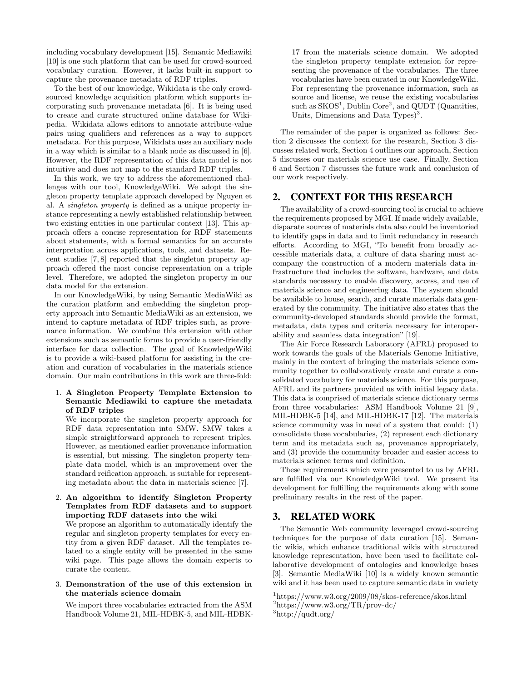including vocabulary development [15]. Semantic Mediawiki [10] is one such platform that can be used for crowd-sourced vocabulary curation. However, it lacks built-in support to capture the provenance metadata of RDF triples.

To the best of our knowledge, Wikidata is the only crowdsourced knowledge acquisition platform which supports incorporating such provenance metadata [6]. It is being used to create and curate structured online database for Wikipedia. Wikidata allows editors to annotate attribute-value pairs using qualifiers and references as a way to support metadata. For this purpose, Wikidata uses an auxiliary node in a way which is similar to a blank node as discussed in [6]. However, the RDF representation of this data model is not intuitive and does not map to the standard RDF triples.

In this work, we try to address the aforementioned challenges with our tool, KnowledgeWiki. We adopt the singleton property template approach developed by Nguyen et al. A singleton property is defined as a unique property instance representing a newly established relationship between two existing entities in one particular context [13]. This approach offers a concise representation for RDF statements about statements, with a formal semantics for an accurate interpretation across applications, tools, and datasets. Recent studies [7, 8] reported that the singleton property approach offered the most concise representation on a triple level. Therefore, we adopted the singleton property in our data model for the extension.

In our KnowledgeWiki, by using Semantic MediaWiki as the curation platform and embedding the singleton property approach into Semantic MediaWiki as an extension, we intend to capture metadata of RDF triples such, as provenance information. We combine this extension with other extensions such as semantic forms to provide a user-friendly interface for data collection. The goal of KnowledgeWiki is to provide a wiki-based platform for assisting in the creation and curation of vocabularies in the materials science domain. Our main contributions in this work are three-fold:

#### 1. A Singleton Property Template Extension to Semantic Mediawiki to capture the metadata of RDF triples

We incorporate the singleton property approach for RDF data representation into SMW. SMW takes a simple straightforward approach to represent triples. However, as mentioned earlier provenance information is essential, but missing. The singleton property template data model, which is an improvement over the standard reification approach, is suitable for representing metadata about the data in materials science [7].

### 2. An algorithm to identify Singleton Property Templates from RDF datasets and to support importing RDF datasets into the wiki

We propose an algorithm to automatically identify the regular and singleton property templates for every entity from a given RDF dataset. All the templates related to a single entity will be presented in the same wiki page. This page allows the domain experts to curate the content.

#### 3. Demonstration of the use of this extension in the materials science domain

We import three vocabularies extracted from the ASM Handbook Volume 21, MIL-HDBK-5, and MIL-HDBK- 17 from the materials science domain. We adopted the singleton property template extension for representing the provenance of the vocabularies. The three vocabularies have been curated in our KnowledgeWiki. For representing the provenance information, such as source and license, we reuse the existing vocabularies such as  $SKOS<sup>1</sup>$ , Dublin Core<sup>2</sup>, and QUDT (Quantities, Units, Dimensions and Data Types $)^3$ .

The remainder of the paper is organized as follows: Section 2 discusses the context for the research, Section 3 discusses related work, Section 4 outlines our approach, Section 5 discusses our materials science use case. Finally, Section 6 and Section 7 discusses the future work and conclusion of our work respectively.

# 2. CONTEXT FOR THIS RESEARCH

The availability of a crowd-sourcing tool is crucial to achieve the requirements proposed by MGI. If made widely available, disparate sources of materials data also could be inventoried to identify gaps in data and to limit redundancy in research efforts. According to MGI, "To benefit from broadly accessible materials data, a culture of data sharing must accompany the construction of a modern materials data infrastructure that includes the software, hardware, and data standards necessary to enable discovery, access, and use of materials science and engineering data. The system should be available to house, search, and curate materials data generated by the community. The initiative also states that the community-developed standards should provide the format, metadata, data types and criteria necessary for interoperability and seamless data integration" [19].

The Air Force Research Laboratory (AFRL) proposed to work towards the goals of the Materials Genome Initiative, mainly in the context of bringing the materials science community together to collaboratively create and curate a consolidated vocabulary for materials science. For this purpose, AFRL and its partners provided us with initial legacy data. This data is comprised of materials science dictionary terms from three vocabularies: ASM Handbook Volume 21 [9], MIL-HDBK-5 [14], and MIL-HDBK-17 [12]. The materials science community was in need of a system that could: (1) consolidate these vocabularies, (2) represent each dictionary term and its metadata such as, provenance appropriately, and (3) provide the community broader and easier access to materials science terms and definition.

These requirements which were presented to us by AFRL are fulfilled via our KnowledgeWiki tool. We present its development for fulfilling the requirements along with some preliminary results in the rest of the paper.

# 3. RELATED WORK

The Semantic Web community leveraged crowd-sourcing techniques for the purpose of data curation [15]. Semantic wikis, which enhance traditional wikis with structured knowledge representation, have been used to facilitate collaborative development of ontologies and knowledge bases [3]. Semantic MediaWiki [10] is a widely known semantic wiki and it has been used to capture semantic data in variety

 $1$ https://www.w3.org/2009/08/skos-reference/skos.html

 $^{2}$ https://www.w3.org/TR/prov-dc/

 $3$ http://qudt.org/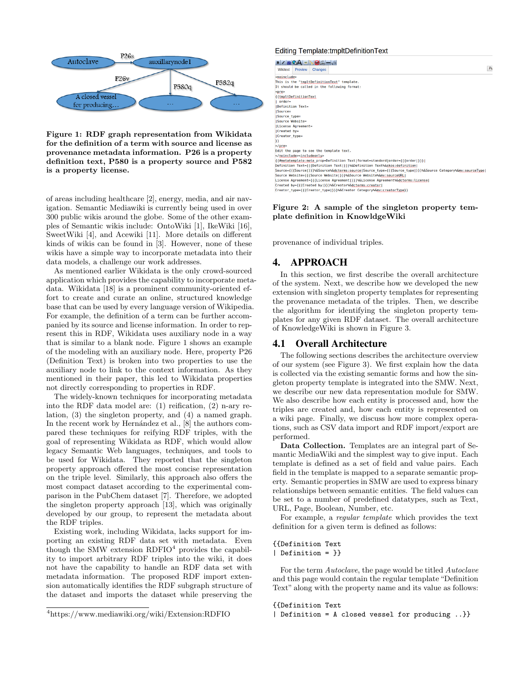

Figure 1: RDF graph representation from Wikidata for the definition of a term with source and license as provenance metadata information. P26 is a property definition text, P580 is a property source and P582 is a property license.

of areas including healthcare [2], energy, media, and air navigation. Semantic Mediawiki is currently being used in over 300 public wikis around the globe. Some of the other examples of Semantic wikis include: OntoWiki [1], IkeWiki [16], SweetWiki [4], and Acewiki [11]. More details on different kinds of wikis can be found in [3]. However, none of these wikis have a simple way to incorporate metadata into their data models, a challenge our work addresses.

As mentioned earlier Wikidata is the only crowd-sourced application which provides the capability to incorporate metadata. Wikidata [18] is a prominent community-oriented effort to create and curate an online, structured knowledge base that can be used by every language version of Wikipedia. For example, the definition of a term can be further accompanied by its source and license information. In order to represent this in RDF, Wikidata uses auxiliary node in a way that is similar to a blank node. Figure 1 shows an example of the modeling with an auxiliary node. Here, property P26 (Definition Text) is broken into two properties to use the auxiliary node to link to the context information. As they mentioned in their paper, this led to Wikidata properties not directly corresponding to properties in RDF.

The widely-known techniques for incorporating metadata into the RDF data model are: (1) reification, (2) n-ary relation, (3) the singleton property, and (4) a named graph. In the recent work by Hernández et al., [8] the authors compared these techniques for reifying RDF triples, with the goal of representing Wikidata as RDF, which would allow legacy Semantic Web languages, techniques, and tools to be used for Wikidata. They reported that the singleton property approach offered the most concise representation on the triple level. Similarly, this approach also offers the most compact dataset according to the experimental comparison in the PubChem dataset [7]. Therefore, we adopted the singleton property approach [13], which was originally developed by our group, to represent the metadata about the RDF triples.

Existing work, including Wikidata, lacks support for importing an existing RDF data set with metadata. Even though the SMW extension  $RDFIO<sup>4</sup>$  provides the capability to import arbitrary RDF triples into the wiki, it does not have the capability to handle an RDF data set with metadata information. The proposed RDF import extension automatically identifies the RDF subgraph structure of the dataset and imports the dataset while preserving the

#### <sup>4</sup>https://www.mediawiki.org/wiki/Extension:RDFIO

#### **Editing Template:tmpltDefinitionText**

 $B Z \Delta B$ Wikitext Preview Changes <<u>noinclude</u>><br>This is the "<u>tmpltDefinitionText</u>" template.<br>It should be called in the following format: {{tmpltDefinitionText | order=<br>|Definition Text=<br>|Source=<br>|Source\_type= Source Website .<br>|License Agreement= Created by created by-<br>|Creator\_type= n , ,<br></<u>pre</u>> Edit the page to see the template text. </noinclude><includeonly> %\m<u>unitume="+intumentity"</u><br>\{<del>fmetatemplate:meta</del>\_prop=Definition Text|format=standard|order={{{order|}}}|<br>Definition Text={{{Definition Text}}}%&Bource={definition Text%&Bource={type|}}}%&Bource={{{Source}}}%&Bource={def License Agreement={{{License Agreement}}}%&License Agreement%&dcterms:license|<br>|Created by={{{Created by]}}}%&Creator%<u>&dcterms:creator</u>|<br>|Creator\_type={{{Creator\_type|}}}%&Creator Category%&<u>mv:creator</u>|<br>|Creator\_type={{{

#### Figure 2: A sample of the singleton property template definition in KnowldgeWiki

provenance of individual triples.

# 4. APPROACH

In this section, we first describe the overall architecture of the system. Next, we describe how we developed the new extension with singleton property templates for representing the provenance metadata of the triples. Then, we describe the algorithm for identifying the singleton property templates for any given RDF dataset. The overall architecture of KnowledgeWiki is shown in Figure 3.

# 4.1 Overall Architecture

The following sections describes the architecture overview of our system (see Figure 3). We first explain how the data is collected via the existing semantic forms and how the singleton property template is integrated into the SMW. Next, we describe our new data representation module for SMW. We also describe how each entity is processed and, how the triples are created and, how each entity is represented on a wiki page. Finally, we discuss how more complex operations, such as CSV data import and RDF import/export are performed.

Data Collection. Templates are an integral part of Semantic MediaWiki and the simplest way to give input. Each template is defined as a set of field and value pairs. Each field in the template is mapped to a separate semantic property. Semantic properties in SMW are used to express binary relationships between semantic entities. The field values can be set to a number of predefined datatypes, such as Text, URL, Page, Boolean, Number, etc.

For example, a regular template which provides the text definition for a given term is defined as follows:

#### {{Definition Text | Definition = }}

For the term Autoclave, the page would be titled Autoclave and this page would contain the regular template "Definition Text" along with the property name and its value as follows:

{{Definition Text | Definition = A closed vessel for producing ..}}  $P<sub>u</sub>$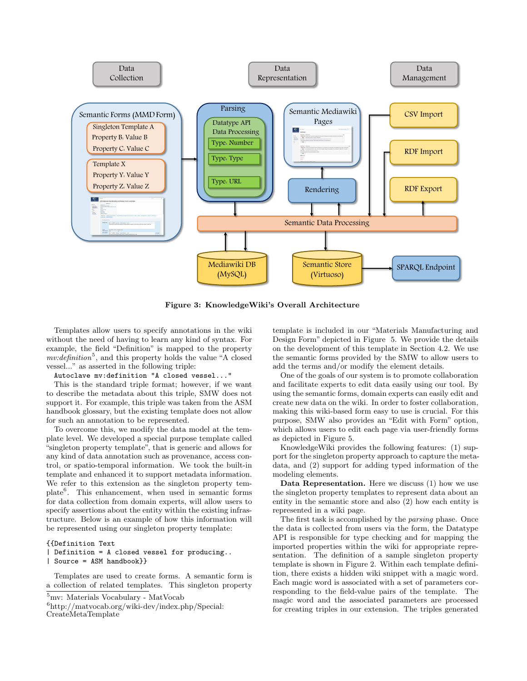

Figure 3: KnowledgeWiki's Overall Architecture

Templates allow users to specify annotations in the wiki without the need of having to learn any kind of syntax. For example, the field "Definition" is mapped to the property  $mv:definition<sup>5</sup>$ , and this property holds the value "A closed vessel..." as asserted in the following triple:

Autoclave mv:definition "A closed vessel..."

This is the standard triple format; however, if we want to describe the metadata about this triple, SMW does not support it. For example, this triple was taken from the ASM handbook glossary, but the existing template does not allow for such an annotation to be represented.

To overcome this, we modify the data model at the template level. We developed a special purpose template called "singleton property template", that is generic and allows for any kind of data annotation such as provenance, access control, or spatio-temporal information. We took the built-in template and enhanced it to support metadata information. We refer to this extension as the singleton property template<sup>6</sup> . This enhancement, when used in semantic forms for data collection from domain experts, will allow users to specify assertions about the entity within the existing infrastructure. Below is an example of how this information will be represented using our singleton property template:

#### {{Definition Text

# | Definition = A closed vessel for producing..

| Source = ASM handbook}}

Templates are used to create forms. A semantic form is a collection of related templates. This singleton property

```
CreateMetaTemplate
```
template is included in our "Materials Manufacturing and Design Form" depicted in Figure 5. We provide the details on the development of this template in Section 4.2. We use the semantic forms provided by the SMW to allow users to add the terms and/or modify the element details.

One of the goals of our system is to promote collaboration and facilitate experts to edit data easily using our tool. By using the semantic forms, domain experts can easily edit and create new data on the wiki. In order to foster collaboration, making this wiki-based form easy to use is crucial. For this purpose, SMW also provides an "Edit with Form" option, which allows users to edit each page via user-friendly forms as depicted in Figure 5.

KnowledgeWiki provides the following features: (1) support for the singleton property approach to capture the metadata, and (2) support for adding typed information of the modeling elements.

Data Representation. Here we discuss (1) how we use the singleton property templates to represent data about an entity in the semantic store and also (2) how each entity is represented in a wiki page.

The first task is accomplished by the parsing phase. Once the data is collected from users via the form, the Datatype API is responsible for type checking and for mapping the imported properties within the wiki for appropriate representation. The definition of a sample singleton property template is shown in Figure 2. Within each template definition, there exists a hidden wiki snippet with a magic word. Each magic word is associated with a set of parameters corresponding to the field-value pairs of the template. The magic word and the associated parameters are processed for creating triples in our extension. The triples generated

<sup>&</sup>lt;sup>5</sup>mv: Materials Vocabulary - MatVocab

 $6$ http://matvocab.org/wiki-dev/index.php/Special: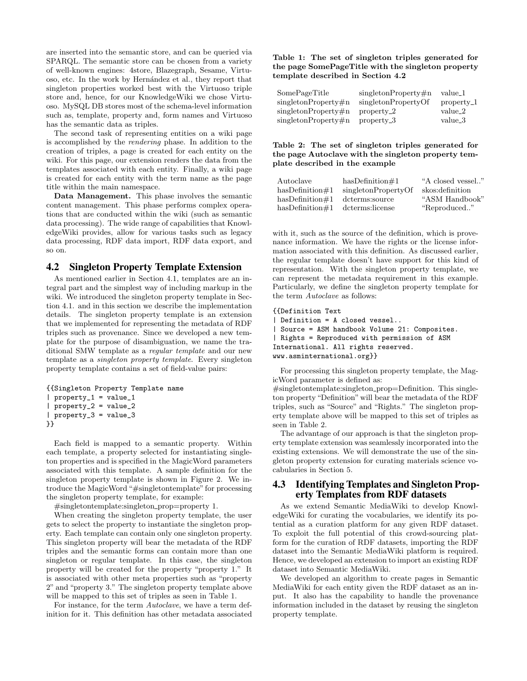are inserted into the semantic store, and can be queried via SPARQL. The semantic store can be chosen from a variety of well-known engines: 4store, Blazegraph, Sesame, Virtuoso, etc. In the work by Hern´andez et al., they report that singleton properties worked best with the Virtuoso triple store and, hence, for our KnowledgeWiki we chose Virtuoso. MySQL DB stores most of the schema-level information such as, template, property and, form names and Virtuoso has the semantic data as triples.

The second task of representing entities on a wiki page is accomplished by the rendering phase. In addition to the creation of triples, a page is created for each entity on the wiki. For this page, our extension renders the data from the templates associated with each entity. Finally, a wiki page is created for each entity with the term name as the page title within the main namespace.

Data Management. This phase involves the semantic content management. This phase performs complex operations that are conducted within the wiki (such as semantic data processing). The wide range of capabilities that KnowledgeWiki provides, allow for various tasks such as legacy data processing, RDF data import, RDF data export, and so on.

### 4.2 Singleton Property Template Extension

As mentioned earlier in Section 4.1, templates are an integral part and the simplest way of including markup in the wiki. We introduced the singleton property template in Section 4.1. and in this section we describe the implementation details. The singleton property template is an extension that we implemented for representing the metadata of RDF triples such as provenance. Since we developed a new template for the purpose of disambiguation, we name the traditional SMW template as a regular template and our new template as a singleton property template. Every singleton property template contains a set of field-value pairs:

```
{{Singleton Property Template name
| property_1 = value_1
| property_2 = value_2
| property_3 = value_3
}}
```
Each field is mapped to a semantic property. Within each template, a property selected for instantiating singleton properties and is specified in the MagicWord parameters associated with this template. A sample definition for the singleton property template is shown in Figure 2. We introduce the MagicWord "#singletontemplate" for processing the singleton property template, for example:

#singletontemplate:singleton prop=property 1.

When creating the singleton property template, the user gets to select the property to instantiate the singleton property. Each template can contain only one singleton property. This singleton property will bear the metadata of the RDF triples and the semantic forms can contain more than one singleton or regular template. In this case, the singleton property will be created for the property "property 1." It is associated with other meta properties such as "property 2" and "property 3." The singleton property template above will be mapped to this set of triples as seen in Table 1.

For instance, for the term Autoclave, we have a term definition for it. This definition has other metadata associated

#### Table 1: The set of singleton triples generated for the page SomePageTitle with the singleton property template described in Section 4.2

| SomePageTitle             | singletonProperty#n | value_1    |
|---------------------------|---------------------|------------|
| $singlet on Property \#n$ | singletonPropertyOf | property_1 |
| $singlet on Property \#n$ | $property_2$        | value_2    |
| singletonProperty#n       | property_3          | value_3    |

#### Table 2: The set of singleton triples generated for the page Autoclave with the singleton property template described in the example

| Autoclave           | $hasDefinition \#1$ | "A closed vessel" |
|---------------------|---------------------|-------------------|
| $hasDefinition \#1$ | singletonPropertyOf | skos: definition  |
| $hasDefinition \#1$ | dcterms:source      | "ASM Handbook"    |
| $hasDefinition \#1$ | dcterms:license     | "Reproduced"      |

with it, such as the source of the definition, which is provenance information. We have the rights or the license information associated with this definition. As discussed earlier, the regular template doesn't have support for this kind of representation. With the singleton property template, we can represent the metadata requirement in this example. Particularly, we define the singleton property template for the term Autoclave as follows:

```
{{Definition Text
| Definition = A closed vessel..
| Source = ASM handbook Volume 21: Composites.
| Rights = Reproduced with permission of ASM
International. All rights reserved.
www.asminternational.org}}
```
For processing this singleton property template, the MagicWord parameter is defined as:

#singletontemplate:singleton prop=Definition. This singleton property "Definition" will bear the metadata of the RDF triples, such as "Source" and "Rights." The singleton property template above will be mapped to this set of triples as seen in Table 2.

The advantage of our approach is that the singleton property template extension was seamlessly incorporated into the existing extensions. We will demonstrate the use of the singleton property extension for curating materials science vocabularies in Section 5.

# 4.3 Identifying Templates and Singleton Property Templates from RDF datasets

As we extend Semantic MediaWiki to develop KnowledgeWiki for curating the vocabularies, we identify its potential as a curation platform for any given RDF dataset. To exploit the full potential of this crowd-sourcing platform for the curation of RDF datasets, importing the RDF dataset into the Semantic MediaWiki platform is required. Hence, we developed an extension to import an existing RDF dataset into Semantic MediaWiki.

We developed an algorithm to create pages in Semantic MediaWiki for each entity given the RDF dataset as an input. It also has the capability to handle the provenance information included in the dataset by reusing the singleton property template.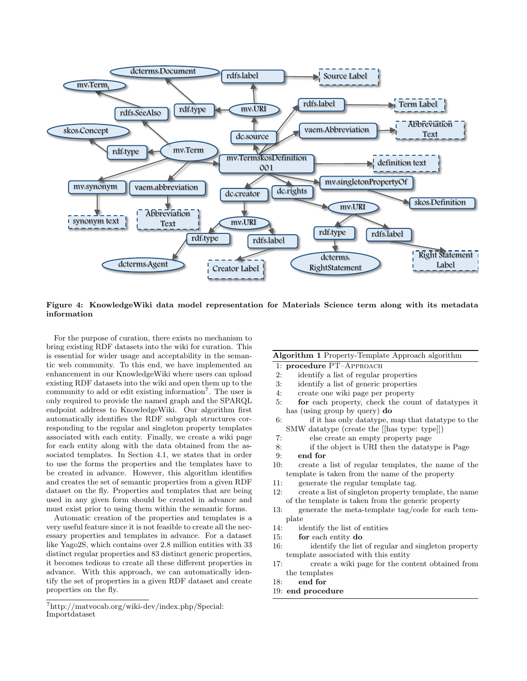

Figure 4: KnowledgeWiki data model representation for Materials Science term along with its metadata information

For the purpose of curation, there exists no mechanism to bring existing RDF datasets into the wiki for curation. This is essential for wider usage and acceptability in the semantic web community. To this end, we have implemented an enhancement in our KnowledgeWiki where users can upload existing RDF datasets into the wiki and open them up to the community to add or edit existing information<sup>7</sup>. The user is only required to provide the named graph and the SPARQL endpoint address to KnowledgeWiki. Our algorithm first automatically identifies the RDF subgraph structures corresponding to the regular and singleton property templates associated with each entity. Finally, we create a wiki page for each entity along with the data obtained from the associated templates. In Section 4.1, we states that in order to use the forms the properties and the templates have to be created in advance. However, this algorithm identifies and creates the set of semantic properties from a given RDF dataset on the fly. Properties and templates that are being used in any given form should be created in advance and must exist prior to using them within the semantic forms.

Automatic creation of the properties and templates is a very useful feature since it is not feasible to create all the necessary properties and templates in advance. For a dataset like Yago2S, which contains over 2.8 million entities with 33 distinct regular properties and 83 distinct generic properties, it becomes tedious to create all these different properties in advance. With this approach, we can automatically identify the set of properties in a given RDF dataset and create properties on the fly.

#### <sup>7</sup>http://matvocab.org/wiki-dev/index.php/Special: Importdataset

# Algorithm 1 Property-Template Approach algorithm

- 1: procedure PT–Approach
- 2: identify a list of regular properties
- 3: identify a list of generic properties
- 4: create one wiki page per property
- 5: for each property, check the count of datatypes it has (using group by query) do
- 6: if it has only datatype, map that datatype to the SMW datatype (create the [[has type: type]])
- 7: else create an empty property page
- 8: if the object is URI then the datatype is Page
- 9: end for
- 10: create a list of regular templates, the name of the template is taken from the name of the property
- 11: generate the regular template tag.
- 12: create a list of singleton property template, the name of the template is taken from the generic property
- 13: generate the meta-template tag/code for each template
- 14: identify the list of entities
- 15: for each entity do
- 16: identify the list of regular and singleton property template associated with this entity
- 17: create a wiki page for the content obtained from the templates
- 18: end for
- 19: end procedure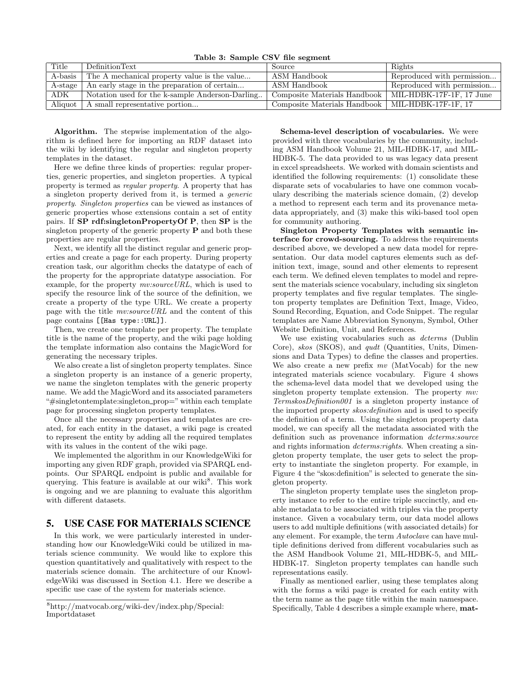Table 3: Sample CSV file segment

| Title   | DefinitionText                                  | Source                                             | Rights                     |
|---------|-------------------------------------------------|----------------------------------------------------|----------------------------|
| A-basis | The A mechanical property value is the value    | ASM Handbook                                       | Reproduced with permission |
| A-stage | An early stage in the preparation of certain    | ASM Handbook                                       | Reproduced with permission |
| ADK     | Notation used for the k-sample Anderson-Darling | Composite Materials Handbook                       | MIL-HDBK-17F-1F, 17 June   |
| Aliquot | A small representative portion                  | Composite Materials Handbook   MIL-HDBK-17F-1F, 17 |                            |

Algorithm. The stepwise implementation of the algorithm is defined here for importing an RDF dataset into the wiki by identifying the regular and singleton property templates in the dataset.

Here we define three kinds of properties: regular properties, generic properties, and singleton properties. A typical property is termed as regular property. A property that has a singleton property derived from it, is termed a generic property. Singleton properties can be viewed as instances of generic properties whose extensions contain a set of entity pairs. If SP rdf:singletonPropertyOf P, then SP is the singleton property of the generic property  $P$  and both these properties are regular properties.

Next, we identify all the distinct regular and generic properties and create a page for each property. During property creation task, our algorithm checks the datatype of each of the property for the appropriate datatype association. For example, for the property  $mv:sourceURL$ , which is used to specify the resource link of the source of the definition, we create a property of the type URL. We create a property page with the title mv:sourceURL and the content of this page contains [[Has type::URL]].

Then, we create one template per property. The template title is the name of the property, and the wiki page holding the template information also contains the MagicWord for generating the necessary triples.

We also create a list of singleton property templates. Since a singleton property is an instance of a generic property, we name the singleton templates with the generic property name. We add the MagicWord and its associated parameters "#singletontemplate:singleton prop=" within each template page for processing singleton property templates.

Once all the necessary properties and templates are created, for each entity in the dataset, a wiki page is created to represent the entity by adding all the required templates with its values in the content of the wiki page.

We implemented the algorithm in our KnowledgeWiki for importing any given RDF graph, provided via SPARQL endpoints. Our SPARQL endpoint is public and available for querying. This feature is available at our wiki<sup>8</sup>. This work is ongoing and we are planning to evaluate this algorithm with different datasets.

## 5. USE CASE FOR MATERIALS SCIENCE

In this work, we were particularly interested in understanding how our KnowledgeWiki could be utilized in materials science community. We would like to explore this question quantitatively and qualitatively with respect to the materials science domain. The architecture of our KnowledgeWiki was discussed in Section 4.1. Here we describe a specific use case of the system for materials science.

Schema-level description of vocabularies. We were provided with three vocabularies by the community, including ASM Handbook Volume 21, MIL-HDBK-17, and MIL-HDBK-5. The data provided to us was legacy data present in excel spreadsheets. We worked with domain scientists and identified the following requirements: (1) consolidate these disparate sets of vocabularies to have one common vocabulary describing the materials science domain, (2) develop a method to represent each term and its provenance metadata appropriately, and (3) make this wiki-based tool open for community authoring.

Singleton Property Templates with semantic interface for crowd-sourcing. To address the requirements described above, we developed a new data model for representation. Our data model captures elements such as definition text, image, sound and other elements to represent each term. We defined eleven templates to model and represent the materials science vocabulary, including six singleton property templates and five regular templates. The singleton property templates are Definition Text, Image, Video, Sound Recording, Equation, and Code Snippet. The regular templates are Name Abbreviation Synonym, Symbol, Other Website Definition, Unit, and References.

We use existing vocabularies such as *dcterms* (Dublin Core), skos (SKOS), and qudt (Quantities, Units, Dimensions and Data Types) to define the classes and properties. We also create a new prefix  $mv$  (MatVocab) for the new integrated materials science vocabulary. Figure 4 shows the schema-level data model that we developed using the singleton property template extension. The property  $mv$ : TermskosDefinition001 is a singleton property instance of the imported property skos:definition and is used to specify the definition of a term. Using the singleton property data model, we can specify all the metadata associated with the definition such as provenance information *dcterms:source* and rights information *dcterms:rights*. When creating a singleton property template, the user gets to select the property to instantiate the singleton property. For example, in Figure 4 the "skos:definition" is selected to generate the singleton property.

The singleton property template uses the singleton property instance to refer to the entire triple succinctly, and enable metadata to be associated with triples via the property instance. Given a vocabulary term, our data model allows users to add multiple definitions (with associated details) for any element. For example, the term Autoclave can have multiple definitions derived from different vocabularies such as the ASM Handbook Volume 21, MIL-HDBK-5, and MIL-HDBK-17. Singleton property templates can handle such representations easily.

Finally as mentioned earlier, using these templates along with the forms a wiki page is created for each entity with the term name as the page title within the main namespace. Specifically, Table 4 describes a simple example where, mat-

<sup>8</sup>http://matvocab.org/wiki-dev/index.php/Special: Importdataset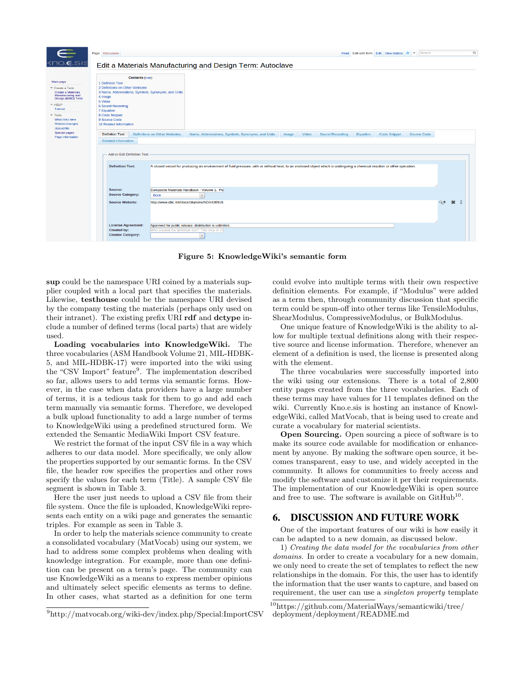

Figure 5: KnowledgeWiki's semantic form

sup could be the namespace URI coined by a materials supplier coupled with a local part that specifies the materials. Likewise, testhouse could be the namespace URI devised by the company testing the materials (perhaps only used on their intranet). The existing prefix URI rdf and dctype include a number of defined terms (local parts) that are widely used.

Loading vocabularies into KnowledgeWiki. The three vocabularies (ASM Handbook Volume 21, MIL-HDBK-5, and MIL-HDBK-17) were imported into the wiki using the "CSV Import" feature<sup>9</sup>. The implementation described so far, allows users to add terms via semantic forms. However, in the case when data providers have a large number of terms, it is a tedious task for them to go and add each term manually via semantic forms. Therefore, we developed a bulk upload functionality to add a large number of terms to KnowledgeWiki using a predefined structured form. We extended the Semantic MediaWiki Import CSV feature.

We restrict the format of the input CSV file in a way which adheres to our data model. More specifically, we only allow the properties supported by our semantic forms. In the CSV file, the header row specifies the properties and other rows specify the values for each term (Title). A sample CSV file segment is shown in Table 3.

Here the user just needs to upload a CSV file from their file system. Once the file is uploaded, KnowledgeWiki represents each entity on a wiki page and generates the semantic triples. For example as seen in Table 3.

In order to help the materials science community to create a consolidated vocabulary (MatVocab) using our system, we had to address some complex problems when dealing with knowledge integration. For example, more than one definition can be present on a term's page. The community can use KnowledgeWiki as a means to express member opinions and ultimately select specific elements as terms to define. In other cases, what started as a definition for one term

could evolve into multiple terms with their own respective definition elements. For example, if "Modulus" were added as a term then, through community discussion that specific term could be spun-off into other terms like TensileModulus, ShearModulus, CompressiveModulus, or BulkModulus.

One unique feature of KnowledgeWiki is the ability to allow for multiple textual definitions along with their respective source and license information. Therefore, whenever an element of a definition is used, the license is presented along with the element.

The three vocabularies were successfully imported into the wiki using our extensions. There is a total of 2,800 entity pages created from the three vocabularies. Each of these terms may have values for 11 templates defined on the wiki. Currently Kno.e.sis is hosting an instance of KnowledgeWiki, called MatVocab, that is being used to create and curate a vocabulary for material scientists.

Open Sourcing. Open sourcing a piece of software is to make its source code available for modification or enhancement by anyone. By making the software open source, it becomes transparent, easy to use, and widely accepted in the community. It allows for communities to freely access and modify the software and customize it per their requirements. The implementation of our KnowledgeWiki is open source and free to use. The software is available on  $\text{GitHub}^{10}$ .

# 6. DISCUSSION AND FUTURE WORK

One of the important features of our wiki is how easily it can be adapted to a new domain, as discussed below.

1) Creating the data model for the vocabularies from other domains. In order to create a vocabulary for a new domain, we only need to create the set of templates to reflect the new relationships in the domain. For this, the user has to identify the information that the user wants to capture, and based on requirement, the user can use a singleton property template

<sup>9</sup>http://matvocab.org/wiki-dev/index.php/Special:ImportCSV

 $\sqrt[10]{\text{https://github.com/MaterialWays/semanticwiki/ree/m}}$ deployment/deployment/README.md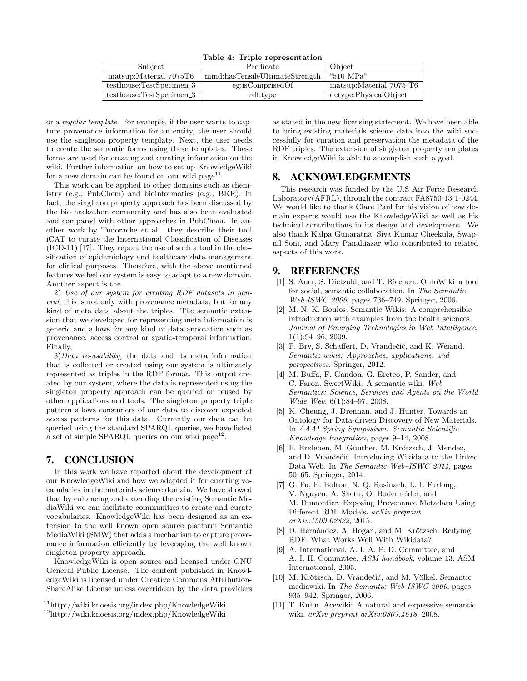Table 4: Triple representation

| Subject                  | Predicate                      | Object                  |
|--------------------------|--------------------------------|-------------------------|
| matsup:Material_7075T6   | mmd:hasTensileUltimateStrength | "510 MPa"               |
| testhouse:TestSpecimen_3 | eg:isComprisedOf               | matsup:Material_7075-T6 |
| testhouse:TestSpecimen_3 | rdf:type                       | dctype:PhysicalObject   |

or a regular template. For example, if the user wants to capture provenance information for an entity, the user should use the singleton property template. Next, the user needs to create the semantic forms using these templates. These forms are used for creating and curating information on the wiki. Further information on how to set up KnowledgeWiki for a new domain can be found on our wiki  $\mathsf{page}^{11}$ 

This work can be applied to other domains such as chemistry (e.g., PubChem) and bioinformatics (e.g., BKR). In fact, the singleton property approach has been discussed by the bio hackathon community and has also been evaluated and compared with other approaches in PubChem. In another work by Tudorache et al. they describe their tool iCAT to curate the International Classification of Diseases (ICD-11) [17]. They report the use of such a tool in the classification of epidemiology and healthcare data management for clinical purposes. Therefore, with the above mentioned features we feel our system is easy to adapt to a new domain. Another aspect is the

2) Use of our system for creating RDF datasets in general, this is not only with provenance metadata, but for any kind of meta data about the triples. The semantic extension that we developed for representing meta information is generic and allows for any kind of data annotation such as provenance, access control or spatio-temporal information. Finally,

 $3) Data$  *re-usability*, the data and its meta information that is collected or created using our system is ultimately represented as triples in the RDF format. This output created by our system, where the data is represented using the singleton property approach can be queried or reused by other applications and tools. The singleton property triple pattern allows consumers of our data to discover expected access patterns for this data. Currently our data can be queried using the standard SPARQL queries, we have listed a set of simple SPARQL queries on our wiki page<sup>12</sup>.

# 7. CONCLUSION

In this work we have reported about the development of our KnowledgeWiki and how we adopted it for curating vocabularies in the materials science domain. We have showed that by enhancing and extending the existing Semantic MediaWiki we can facilitate communities to create and curate vocabularies. KnowledgeWiki has been designed as an extension to the well known open source platform Semantic MediaWiki (SMW) that adds a mechanism to capture provenance information efficiently by leveraging the well known singleton property approach.

KnowledgeWiki is open source and licensed under GNU General Public License. The content published in KnowledgeWiki is licensed under Creative Commons Attribution-ShareAlike License unless overridden by the data providers

as stated in the new licensing statement. We have been able to bring existing materials science data into the wiki successfully for curation and preservation the metadata of the RDF triples. The extension of singleton property templates in KnowledgeWiki is able to accomplish such a goal.

# 8. ACKNOWLEDGEMENTS

This research was funded by the U.S Air Force Research Laboratory(AFRL), through the contract FA8750-13-1-0244. We would like to thank Clare Paul for his vision of how domain experts would use the KnowledgeWiki as well as his technical contributions in its design and development. We also thank Kalpa Gunaratna, Siva Kumar Cheekula, Swapnil Soni, and Mary Panahiazar who contributed to related aspects of this work.

#### 9. REFERENCES

- [1] S. Auer, S. Dietzold, and T. Riechert. OntoWiki–a tool for social, semantic collaboration. In The Semantic Web-ISWC 2006, pages 736–749. Springer, 2006.
- [2] M. N. K. Boulos. Semantic Wikis: A comprehensible introduction with examples from the health sciences. Journal of Emerging Technologies in Web Intelligence, 1(1):94–96, 2009.
- [3] F. Bry, S. Schaffert, D. Vrandečić, and K. Weiand. Semantic wikis: Approaches, applications, and perspectives. Springer, 2012.
- [4] M. Buffa, F. Gandon, G. Ereteo, P. Sander, and C. Faron. SweetWiki: A semantic wiki. Web Semantics: Science, Services and Agents on the World Wide Web, 6(1):84–97, 2008.
- [5] K. Cheung, J. Drennan, and J. Hunter. Towards an Ontology for Data-driven Discovery of New Materials. In AAAI Spring Symposium: Semantic Scientific Knowledge Integration, pages 9–14, 2008.
- [6] F. Erxleben, M. Günther, M. Krötzsch, J. Mendez, and D. Vrandečić. Introducing Wikidata to the Linked Data Web. In The Semantic Web–ISWC 2014, pages 50–65. Springer, 2014.
- [7] G. Fu, E. Bolton, N. Q. Rosinach, L. I. Furlong, V. Nguyen, A. Sheth, O. Bodenreider, and M. Dumontier. Exposing Provenance Metadata Using Different RDF Models. arXiv preprint arXiv:1509.02822, 2015.
- [8] D. Hernández, A. Hogan, and M. Krötzsch. Reifying RDF: What Works Well With Wikidata?
- [9] A. International, A. I. A. P. D. Committee, and A. I. H. Committee. ASM handbook, volume 13. ASM International, 2005.
- [10] M. Krötzsch, D. Vrandečić, and M. Völkel. Semantic mediawiki. In The Semantic Web-ISWC 2006, pages 935–942. Springer, 2006.
- [11] T. Kuhn. Acewiki: A natural and expressive semantic wiki. arXiv preprint arXiv:0807.4618, 2008.

 $\rm ^{11}$ http://wiki.knoesis.org/index.php/KnowledgeWiki

<sup>12</sup>http://wiki.knoesis.org/index.php/KnowledgeWiki